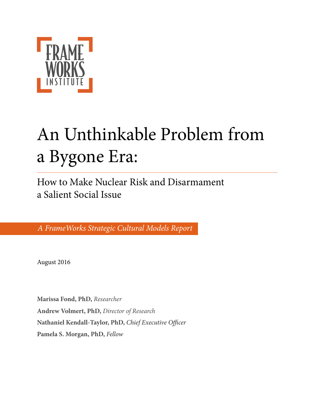

# An Unthinkable Problem from a Bygone Era:

How to Make Nuclear Risk and Disarmament a Salient Social Issue

*A FrameWorks Strategic Cultural Models Report*

August 2016

**Marissa Fond, PhD,** *Researcher* **Andrew Volmert, PhD,** *Director of Research* **Nathaniel Kendall-Taylor, PhD,** *Chief Executive O*ffi*cer*  **Pamela S. Morgan, PhD,** *Fellow*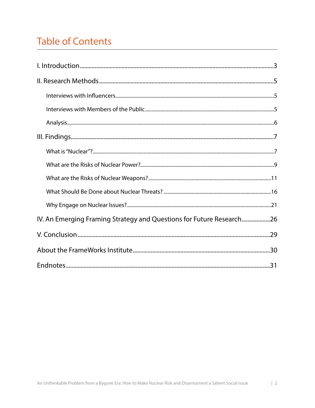# **Table of Contents**

| IV. An Emerging Framing Strategy and Questions for Future Research26 |
|----------------------------------------------------------------------|
|                                                                      |
|                                                                      |
|                                                                      |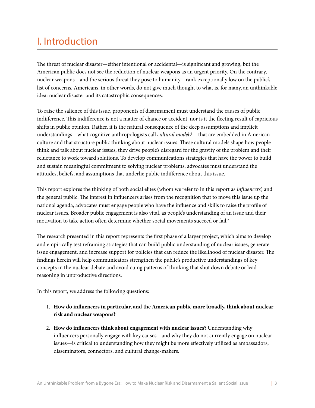## <span id="page-2-0"></span>I. Introduction

The threat of nuclear disaster—either intentional or accidental—is significant and growing, but the American public does not see the reduction of nuclear weapons as an urgent priority. On the contrary, nuclear weapons—and the serious threat they pose to humanity—rank exceptionally low on the public's list of concerns. Americans, in other words, do not give much thought to what is, for many, an unthinkable idea: nuclear disaster and its catastrophic consequences.

To raise the salience of this issue, proponents of disarmament must understand the causes of public indifference. This indifference is not a matter of chance or accident, nor is it the fleeting result of capricious shifs in public opinion. Rather, it is the natural consequence of the deep assumptions and implicit understandings—what cognitive anthropologists call *cultural models*[1](#page-30-1)—that are embedded in American culture and that structure public thinking about nuclear issues. These cultural models shape how people think and talk about nuclear issues; they drive people's disregard for the gravity of the problem and their reluctance to work toward solutions. To develop communications strategies that have the power to build and sustain meaningful commitment to solving nuclear problems, advocates must understand the attitudes, beliefs, and assumptions that underlie public indifference about this issue.

Tis report explores the thinking of both social elites (whom we refer to in this report as *in*f*uencers*) and the general public. The interest in influencers arises from the recognition that to move this issue up the national agenda, advocates must engage people who have the infuence and skills to raise the profle of nuclear issues. Broader public engagement is also vital, as people's understanding of an issue and their motivation to take action often determine whether social movements succeed or fail.<sup>2</sup>

The research presented in this report represents the first phase of a larger project, which aims to develop and empirically test reframing strategies that can build public understanding of nuclear issues, generate issue engagement, and increase support for policies that can reduce the likelihood of nuclear disaster. The fndings herein will help communicators strengthen the public's productive understandings of key concepts in the nuclear debate and avoid cuing patterns of thinking that shut down debate or lead reasoning in unproductive directions.

In this report, we address the following questions:

- 1. **How do infuencers in particular, and the American public more broadly, think about nuclear risk and nuclear weapons?**
- 2. **How do infuencers think about engagement with nuclear issues?** Understanding why infuencers personally engage with key causes—and why they do not currently engage on nuclear issues—is critical to understanding how they might be more effectively utilized as ambassadors, disseminators, connectors, and cultural change-makers.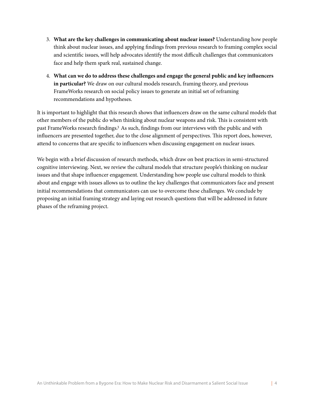- 3. **What are the key challenges in communicating about nuclear issues?** Understanding how people think about nuclear issues, and applying fndings from previous research to framing complex social and scientifc issues, will help advocates identify the most difficult challenges that communicators face and help them spark real, sustained change.
- 4. **What can we do to address these challenges and engage the general public and key infuencers in particular?** We draw on our cultural models research, framing theory, and previous FrameWorks research on social policy issues to generate an initial set of reframing recommendations and hypotheses.

It is important to highlight that this research shows that infuencers draw on the same cultural models that other members of the public do when thinking about nuclear weapons and risk. This is consistent with past FrameWorks research fndings[.3](#page-30-3) As such, fndings from our interviews with the public and with influencers are presented together, due to the close alignment of perspectives. This report does, however, attend to concerns that are specifc to infuencers when discussing engagement on nuclear issues.

We begin with a brief discussion of research methods, which draw on best practices in semi-structured cognitive interviewing. Next, we review the cultural models that structure people's thinking on nuclear issues and that shape infuencer engagement. Understanding how people use cultural models to think about and engage with issues allows us to outline the key challenges that communicators face and present initial recommendations that communicators can use to overcome these challenges. We conclude by proposing an initial framing strategy and laying out research questions that will be addressed in future phases of the reframing project.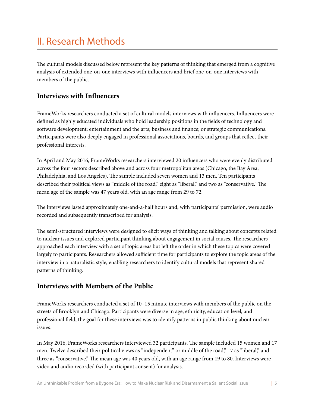## <span id="page-4-0"></span>II. Research Methods

The cultural models discussed below represent the key patterns of thinking that emerged from a cognitive analysis of extended one-on-one interviews with infuencers and brief one-on-one interviews with members of the public.

#### <span id="page-4-1"></span>**Interviews with Infuencers**

FrameWorks researchers conducted a set of cultural models interviews with infuencers. Infuencers were defned as highly educated individuals who hold leadership positions in the felds of technology and sofware development; entertainment and the arts; business and fnance; or strategic communications. Participants were also deeply engaged in professional associations, boards, and groups that refect their professional interests.

In April and May 2016, FrameWorks researchers interviewed 20 infuencers who were evenly distributed across the four sectors described above and across four metropolitan areas (Chicago, the Bay Area, Philadelphia, and Los Angeles). The sample included seven women and 13 men. Ten participants described their political views as "middle of the road," eight as "liberal," and two as "conservative." The mean age of the sample was 47 years old, with an age range from 29 to 72.

The interviews lasted approximately one-and-a-half hours and, with participants' permission, were audio recorded and subsequently transcribed for analysis.

The semi-structured interviews were designed to elicit ways of thinking and talking about concepts related to nuclear issues and explored participant thinking about engagement in social causes. The researchers approached each interview with a set of topic areas but left the order in which these topics were covered largely to participants. Researchers allowed sufficient time for participants to explore the topic areas of the interview in a naturalistic style, enabling researchers to identify cultural models that represent shared patterns of thinking.

#### <span id="page-4-2"></span>**Interviews with Members of the Public**

FrameWorks researchers conducted a set of 10–15 minute interviews with members of the public on the streets of Brooklyn and Chicago. Participants were diverse in age, ethnicity, education level, and professional feld; the goal for these interviews was to identify patterns in public thinking about nuclear issues.

In May 2016, FrameWorks researchers interviewed 32 participants. The sample included 15 women and 17 men. Twelve described their political views as "independent" or middle of the road," 17 as "liberal," and three as "conservative." The mean age was 40 years old, with an age range from 19 to 80. Interviews were video and audio recorded (with participant consent) for analysis.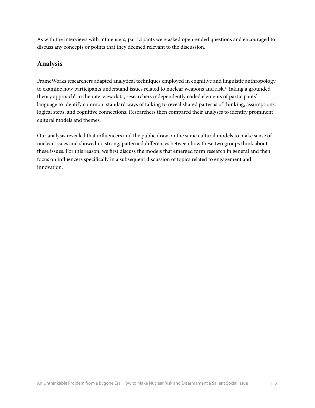As with the interviews with infuencers, participants were asked open-ended questions and encouraged to discuss any concepts or points that they deemed relevant to the discussion.

#### <span id="page-5-0"></span>**Analysis**

FrameWorks researchers adapted analytical techniques employed in cognitive and linguistic anthropology to examine how participants understand issues related to nuclear weapons and risk[.4](#page-30-4) Taking a grounded theory approach<sup>5</sup> to the interview data, researchers independently coded elements of participants' language to identify common, standard ways of talking to reveal shared patterns of thinking, assumptions, logical steps, and cognitive connections. Researchers then compared their analyses to identify prominent cultural models and themes.

Our analysis revealed that infuencers and the public draw on the same cultural models to make sense of nuclear issues and showed no strong, patterned differences between how these two groups think about these issues. For this reason, we frst discuss the models that emerged form research in general and then focus on infuencers specifcally in a subsequent discussion of topics related to engagement and innovation.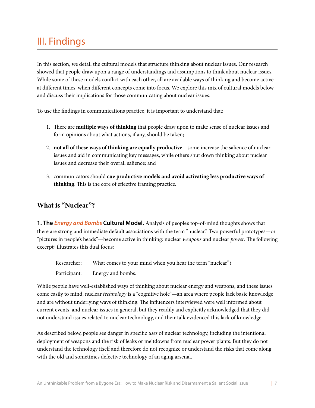### <span id="page-6-0"></span>III. Findings

In this section, we detail the cultural models that structure thinking about nuclear issues. Our research showed that people draw upon a range of understandings and assumptions to think about nuclear issues. While some of these models confict with each other, all are available ways of thinking and become active at different times, when different concepts come into focus. We explore this mix of cultural models below and discuss their implications for those communicating about nuclear issues.

To use the fndings in communications practice, it is important to understand that:

- 1. Tere are **multiple ways of thinking** that people draw upon to make sense of nuclear issues and form opinions about what actions, if any, should be taken;
- 2. **not all of these ways of thinking are equally productive**—some increase the salience of nuclear issues and aid in communicating key messages, while others shut down thinking about nuclear issues and decrease their overall salience; and
- 3. communicators should **cue productive models and avoid activating less productive ways of thinking**. This is the core of effective framing practice.

#### <span id="page-6-1"></span>**What is "Nuclear"?**

**1. The** *Energy and Bombs* **Cultural Model.** Analysis of people's top-of-mind thoughts shows that there are strong and immediate default associations with the term "nuclear." Two powerful prototypes—or "pictures in people's heads"—become active in thinking: nuclear *weapons* and nuclear *power*. The following excerpt<sup>6</sup> illustrates this dual focus:

Researcher: What comes to your mind when you hear the term "nuclear"? Participant: Energy and bombs.

While people have well-established ways of thinking about nuclear energy and weapons, and these issues come easily to mind, nuclear *technology* is a "cognitive hole"—an area where people lack basic knowledge and are without underlying ways of thinking. The influencers interviewed were well informed about current events, and nuclear issues in general, but they readily and explicitly acknowledged that they did not understand issues related to nuclear technology, and their talk evidenced this lack of knowledge.

As described below, people see danger in specifc *uses* of nuclear technology, including the intentional deployment of weapons and the risk of leaks or meltdowns from nuclear power plants. But they do not understand the technology itself and therefore do not recognize or understand the risks that come along with the old and sometimes defective technology of an aging arsenal.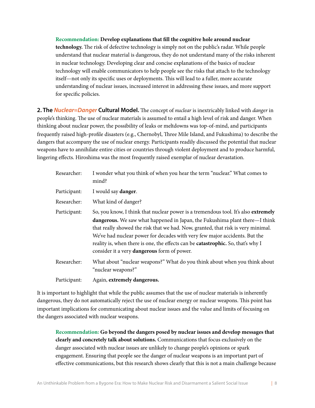**Recommendation: Develop explanations that fll the cognitive hole around nuclear technology.** The risk of defective technology is simply not on the public's radar. While people understand that nuclear material is dangerous, they do not understand many of the risks inherent in nuclear technology. Developing clear and concise explanations of the basics of nuclear technology will enable communicators to help people see the risks that attach to the technology itself—not only its specifc uses or deployments. Tis will lead to a fuller, more accurate understanding of nuclear issues, increased interest in addressing these issues, and more support for specifc policies.

**2. The** *Nuclear=Danger* **Cultural Model.** The concept of *nuclear* is inextricably linked with *danger* in people's thinking. The use of nuclear materials is assumed to entail a high level of risk and danger. When thinking about nuclear power, the possibility of leaks or meltdowns was top-of-mind, and participants frequently raised high-profile disasters (e.g., Chernobyl, Three Mile Island, and Fukushima) to describe the dangers that accompany the use of nuclear energy. Participants readily discussed the potential that nuclear weapons have to annihilate entire cities or countries through violent deployment and to produce harmful, lingering effects. Hiroshima was the most frequently raised exemplar of nuclear devastation.

| Researcher:  | I wonder what you think of when you hear the term "nuclear." What comes to<br>mind?                                                                                                                                                                                                                                                                                                                                                                                     |
|--------------|-------------------------------------------------------------------------------------------------------------------------------------------------------------------------------------------------------------------------------------------------------------------------------------------------------------------------------------------------------------------------------------------------------------------------------------------------------------------------|
| Participant: | I would say danger.                                                                                                                                                                                                                                                                                                                                                                                                                                                     |
| Researcher:  | What kind of danger?                                                                                                                                                                                                                                                                                                                                                                                                                                                    |
| Participant: | So, you know, I think that nuclear power is a tremendous tool. It's also extremely<br>dangerous. We saw what happened in Japan, the Fukushima plant there—I think<br>that really showed the risk that we had. Now, granted, that risk is very minimal.<br>We've had nuclear power for decades with very few major accidents. But the<br>reality is, when there is one, the effects can be catastrophic. So, that's why I<br>consider it a very dangerous form of power. |
| Researcher:  | What about "nuclear weapons?" What do you think about when you think about<br>"nuclear weapons?"                                                                                                                                                                                                                                                                                                                                                                        |
| Participant: | Again, extremely dangerous.                                                                                                                                                                                                                                                                                                                                                                                                                                             |

It is important to highlight that while the public assumes that the use of nuclear materials is inherently dangerous, they do not automatically reject the use of nuclear energy or nuclear weapons. This point has important implications for communicating about nuclear issues and the value and limits of focusing on the dangers associated with nuclear weapons.

**Recommendation: Go beyond the dangers posed by nuclear issues and develop messages that clearly and concretely talk about solutions.** Communications that focus exclusively on the danger associated with nuclear issues are unlikely to change people's opinions or spark engagement. Ensuring that people see the danger of nuclear weapons is an important part of effective communications, but this research shows clearly that this is not a main challenge because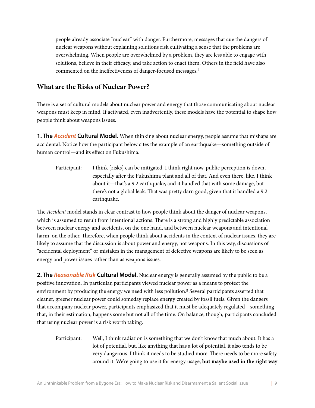people already associate "nuclear" with danger. Furthermore, messages that cue the dangers of nuclear weapons without explaining solutions risk cultivating a sense that the problems are overwhelming. When people are overwhelmed by a problem, they are less able to engage with solutions, believe in their efficacy, and take action to enact them. Others in the feld have also commented on the ineffectiveness of danger-focused messages[.7](#page-30-7)

#### <span id="page-8-0"></span>**What are the Risks of Nuclear Power?**

There is a set of cultural models about nuclear power and energy that those communicating about nuclear weapons must keep in mind. If activated, even inadvertently, these models have the potential to shape how people think about weapons issues.

**1. The** *Accident* **Cultural Model**. When thinking about nuclear energy, people assume that mishaps are accidental. Notice how the participant below cites the example of an earthquake—something outside of human control—and its effect on Fukushima.

Participant: I think [risks] can be mitigated. I think right now, public perception is down, especially after the Fukushima plant and all of that. And even there, like, I think about it—that's a 9.2 earthquake, and it handled that with some damage, but there's not a global leak. That was pretty darn good, given that it handled a 9.2 earthquake.

The *Accident* model stands in clear contrast to how people think about the danger of nuclear weapons, which is assumed to result from intentional actions. There is a strong and highly predictable association between nuclear energy and accidents, on the one hand, and between nuclear weapons and intentional harm, on the other. Therefore, when people think about accidents in the context of nuclear issues, they are likely to assume that the discussion is about power and energy, not weapons. In this way, discussions of "accidental deployment" or mistakes in the management of defective weapons are likely to be seen as energy and power issues rather than as weapons issues.

**2. The** *Reasonable Risk* **Cultural Model.** Nuclear energy is generally assumed by the public to be a positive innovation. In particular, participants viewed nuclear power as a means to protect the environment by producing the energy we need with less pollution.<sup>8</sup> Several participants asserted that cleaner, greener nuclear power could someday replace energy created by fossil fuels. Given the dangers that accompany nuclear power, participants emphasized that it must be adequately regulated—something that, in their estimation, happens some but not all of the time. On balance, though, participants concluded that using nuclear power is a risk worth taking.

Participant:Well, I think radiation is something that we don't know that much about. It has a lot of potential, but, like anything that has a lot of potential, it also tends to be very dangerous. I think it needs to be studied more. There needs to be more safety around it. We're going to use it for energy usage, **but maybe used in the right way**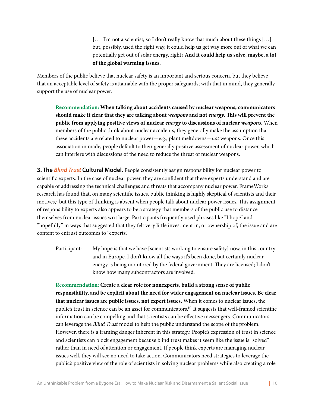[...] I'm not a scientist, so I don't really know that much about these things [...] but, possibly, used the right way, it could help us get way more out of what we can potentially get out of solar energy, right? **And it could help us solve, maybe, a lot of the global warming issues.**

Members of the public believe that nuclear safety is an important and serious concern, but they believe that an acceptable level of safety is attainable with the proper safeguards; with that in mind, they generally support the use of nuclear power.

**Recommendation: When talking about accidents caused by nuclear weapons, communicators should make it clear that they are talking about** *weapons* **and not** *energy***. Tis will prevent the public from applying positive views of nuclear** *energy* **to discussions of nuclear** *weapons***.** When members of the public think about nuclear accidents, they generally make the assumption that these accidents are related to nuclear power—e.g., plant meltdowns—*not* weapons. Once this association in made, people default to their generally positive assessment of nuclear power, which can interfere with discussions of the need to reduce the threat of nuclear weapons.

**3. The** *Blind Trust* **Cultural Model.** People consistently assign responsibility for nuclear power to scientifc experts. In the case of nuclear power, they are confdent that these experts understand and are capable of addressing the technical challenges and threats that accompany nuclear power. FrameWorks research has found that, on many scientifc issues, public thinking is highly skeptical of scientists and their motives,<sup>9</sup> but this type of thinking is absent when people talk about nuclear power issues. This assignment of responsibility to experts also appears to be a strategy that members of the public use to distance themselves from nuclear issues writ large. Participants frequently used phrases like "I hope" and "hopefully" in ways that suggested that they felt very little investment in, or ownership of, the issue and are content to entrust outcomes to "experts."

Participant: My hope is that we have [scientists working to ensure safety] now, in this country and in Europe. I don't know all the ways it's been done, but certainly nuclear energy is being monitored by the federal government. They are licensed; I don't know how many subcontractors are involved.

**Recommendation: Create a clear role for nonexperts, build a strong sense of public responsibility, and be explicit about the need for wider engagement on nuclear issues. Be clear that nuclear issues are public issues, not expert issues.** When it comes to nuclear issues, the public's trust in science can be an asset for communicators[.10](#page-30-10) It suggests that well-framed scientifc information can be compelling and that scientists can be effective messengers. Communicators can leverage the *Blind Trust* model to help the public understand the scope of the problem. However, there is a framing danger inherent in this strategy. People's expression of trust in science and scientists can block engagement because blind trust makes it seem like the issue is "solved" rather than in need of attention or engagement. If people think experts are managing nuclear issues well, they will see no need to take action. Communicators need strategies to leverage the public's positive view of the role of scientists in solving nuclear problems while also creating a role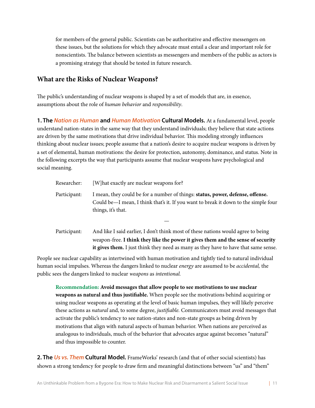for members of the general public. Scientists can be authoritative and effective messengers on these issues, but the solutions for which they advocate must entail a clear and important role for nonscientists. The balance between scientists as messengers and members of the public as actors is a promising strategy that should be tested in future research.

#### <span id="page-10-0"></span>**What are the Risks of Nuclear Weapons?**

The public's understanding of nuclear weapons is shaped by a set of models that are, in essence, assumptions about the role of *human behavior* and *responsibility*.

**1. The** *Nation as Human* **and** *Human Motivation* **Cultural Models.** At a fundamental level, people understand nation-states in the same way that they understand individuals; they believe that state actions are driven by the same motivations that drive individual behavior. This modeling strongly influences thinking about nuclear issues; people assume that a nation's desire to acquire nuclear weapons is driven by a set of elemental, human motivations: the desire for protection, autonomy, dominance, and status. Note in the following excerpts the way that participants assume that nuclear weapons have psychological and social meaning.

| Researcher:  | [W] hat exactly are nuclear weapons for?                                                                                                                                                                                                                            |
|--------------|---------------------------------------------------------------------------------------------------------------------------------------------------------------------------------------------------------------------------------------------------------------------|
| Participant: | I mean, they could be for a number of things: status, power, defense, offense.<br>Could be—I mean, I think that's it. If you want to break it down to the simple four<br>things, it's that.                                                                         |
|              |                                                                                                                                                                                                                                                                     |
| Participant: | And like I said earlier, I don't think most of these nations would agree to being<br>weapon-free. I think they like the power it gives them and the sense of security<br><b>it gives them.</b> I just think they need as many as they have to have that same sense. |

People see nuclear capability as intertwined with human motivation and tightly tied to natural individual human social impulses. Whereas the dangers linked to nuclear *energy* are assumed to be *accidental,* the public sees the dangers linked to nuclear *weapons* as *intentional.*

**Recommendation: Avoid messages that allow people to see motivations to use nuclear weapons as natural and thus justifable.** When people see the motivations behind acquiring or using nuclear weapons as operating at the level of basic human impulses, they will likely perceive these actions as *natural* and, to some degree, *justi*f*able.* Communicators must avoid messages that activate the public's tendency to see nation-states and non-state groups as being driven by motivations that align with natural aspects of human behavior. When nations are perceived as analogous to individuals, much of the behavior that advocates argue against becomes "natural" and thus impossible to counter.

**2. The** *Us vs. Them* **Cultural Model.** FrameWorks' research (and that of other social scientists) has shown a strong tendency for people to draw frm and meaningful distinctions between "us" and "them"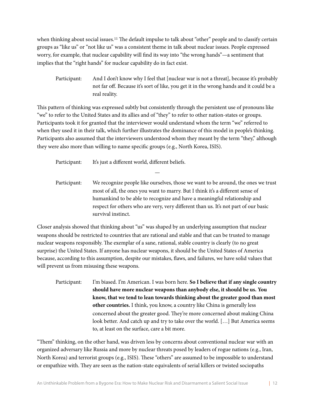when thinking about social issues.<sup>11</sup> The default impulse to talk about "other" people and to classify certain groups as "like us" or "not like us" was a consistent theme in talk about nuclear issues. People expressed worry, for example, that nuclear capability will fnd its way into "the wrong hands"—a sentiment that implies that the "right hands" for nuclear capability do in fact exist.

Participant: And I don't know why I feel that [nuclear war is not a threat], because it's probably not far off. Because it's sort of like, you get it in the wrong hands and it could be a real reality.

This pattern of thinking was expressed subtly but consistently through the persistent use of pronouns like "we" to refer to the United States and its allies and of "they" to refer to other nation-states or groups. Participants took it for granted that the interviewer would understand whom the term "we" referred to when they used it in their talk, which further illustrates the dominance of this model in people's thinking. Participants also assumed that the interviewers understood whom they meant by the term "they," although they were also more than willing to name specifc groups (e.g., North Korea, ISIS).

—

Participant: It's just a different world, different beliefs.

Participant: We recognize people like ourselves, those we want to be around, the ones we trust most of all, the ones you want to marry. But I think it's a different sense of humankind to be able to recognize and have a meaningful relationship and respect for others who are very, very different than us. It's not part of our basic survival instinct.

Closer analysis showed that thinking about "us" was shaped by an underlying assumption that nuclear weapons should be restricted to countries that are rational and stable and that can be trusted to manage nuclear weapons responsibly. The exemplar of a sane, rational, stable country is clearly (to no great surprise) the United States. If anyone has nuclear weapons, it should be the United States of America because, according to this assumption, despite our mistakes, faws, and failures, we have solid values that will prevent us from misusing these weapons.

Participant:I'm biased. I'm American. I was born here. **So I believe that if any single country should have more nuclear weapons than anybody else, it should be us. You know, that we tend to lean towards thinking about the greater good than most other countries.** I think, you know, a country like China is generally less concerned about the greater good. They're more concerned about making China look better. And catch up and try to take over the world. […] But America seems to, at least on the surface, care a bit more.

"Tem" thinking, on the other hand, was driven less by concerns about conventional nuclear war with an organized adversary like Russia and more by nuclear threats posed by leaders of rogue nations (e.g., Iran, North Korea) and terrorist groups (e.g., ISIS). These "others" are assumed to be impossible to understand or empathize with. They are seen as the nation-state equivalents of serial killers or twisted sociopaths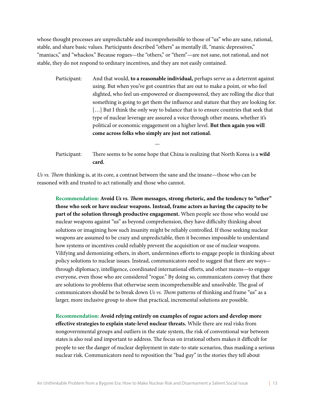whose thought processes are unpredictable and incomprehensible to those of "us" who are sane, rational, stable, and share basic values. Participants described "others" as mentally ill, "manic depressives," "maniacs," and "whackos." Because rogues—the "others," or "them"—are not sane, not rational, and not stable, they do not respond to ordinary incentives, and they are not easily contained.

- Participant:And that would, **to a reasonable individual,** perhaps serve as a deterrent against using. But when you've got countries that are out to make a point, or who feel slighted, who feel un-empowered or disempowered, they are rolling the dice that something is going to get them the infuence and stature that they are looking for. [...] But I think the only way to balance that is to ensure countries that seek that type of nuclear leverage are assured a voice through other means, whether it's political or economic engagement on a higher level. **But then again you will come across folks who simply are just not rational.**
- Participant: There seems to be some hope that China is realizing that North Korea is a wild **card.**

—

*Us vs.* T*em* thinking is, at its core, a contrast between the sane and the insane—those who can be reasoned with and trusted to act rationally and those who cannot.

**Recommendation: Avoid** *Us vs.* **T***em* **messages, strong rhetoric, and the tendency to "other" those who seek or have nuclear weapons. Instead, frame actors as having the capacity to be part of the solution through productive engagement.** When people see those who would use nuclear weapons against "us" as beyond comprehension, they have difficulty thinking about solutions or imagining how such insanity might be reliably controlled. If those seeking nuclear weapons are assumed to be crazy and unpredictable, then it becomes impossible to understand how systems or incentives could reliably prevent the acquisition or use of nuclear weapons. Vilifying and demonizing others, in short, undermines efforts to engage people in thinking about policy solutions to nuclear issues. Instead, communicators need to suggest that there are ways through diplomacy, intelligence, coordinated international efforts, and other means—to engage everyone, even those who are considered "rogue." By doing so, communicators convey that there are solutions to problems that otherwise seem incomprehensible and unsolvable. The goal of communicators should be to break down *Us vs. Them* patterns of thinking and frame "us" as a larger, more inclusive group to show that practical, incremental solutions are possible.

**Recommendation: Avoid relying entirely on examples of rogue actors and develop more effective strategies to explain state-level nuclear threats.** While there are real risks from nongovernmental groups and outliers in the state system, the risk of conventional war between states is also real and important to address. The focus on irrational others makes it difficult for people to see the danger of nuclear deployment in state-to-state scenarios, thus masking a serious nuclear risk. Communicators need to reposition the "bad guy" in the stories they tell about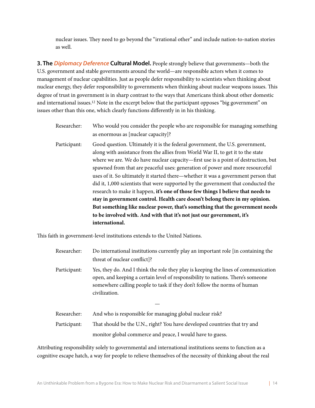nuclear issues. They need to go beyond the "irrational other" and include nation-to-nation stories as well.

**3. The** *Diplomacy Deference* **Cultural Model.** People strongly believe that governments—both the U.S. government and stable governments around the world—are responsible actors when it comes to management of nuclear capabilities. Just as people defer responsibility to scientists when thinking about nuclear energy, they defer responsibility to governments when thinking about nuclear weapons issues. Tis degree of trust in government is in sharp contrast to the ways that Americans think about other domestic and international issues[.12](#page-30-12) Note in the excerpt below that the participant opposes "big government" on issues other than this one, which clearly functions differently in in his thinking.

- Researcher: Who would you consider the people who are responsible for managing something as enormous as [nuclear capacity]? Participant: Good question. Ultimately it is the federal government, the U.S. government, along with assistance from the allies from World War II, to get it to the state where we are. We do have nuclear capacity—frst use is a point of destruction, but spawned from that are peaceful uses: generation of power and more resourceful uses of it. So ultimately it started there—whether it was a government person that did it, 1,000 scientists that were supported by the government that conducted the research to make it happen, **it's one of those few things I believe that needs to stay in government control. Health care doesn't belong there in my opinion.** 
	- **But something like nuclear power, that's something that the government needs to be involved with. And with that it's not just our government, it's international.**

This faith in government-level institutions extends to the United Nations.

Researcher: Do international institutions currently play an important role [in containing the threat of nuclear confict]? Participant: Yes, they do. And I think the role they play is keeping the lines of communication open, and keeping a certain level of responsibility to nations. There's someone somewhere calling people to task if they don't follow the norms of human civilization.

| Researcher:  | And who is responsible for managing global nuclear risk?                  |
|--------------|---------------------------------------------------------------------------|
| Participant: | That should be the U.N., right? You have developed countries that try and |
|              | monitor global commerce and peace, I would have to guess.                 |

—

Attributing responsibility solely to governmental and international institutions seems to function as a cognitive escape hatch, a way for people to relieve themselves of the necessity of thinking about the real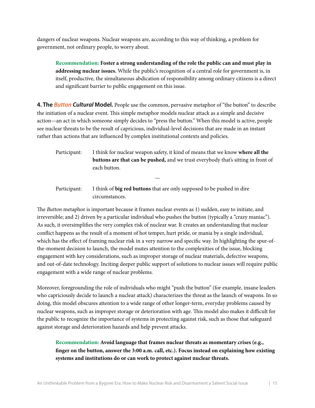dangers of nuclear weapons. Nuclear weapons are, according to this way of thinking, a problem for government, not ordinary people, to worry about.

**Recommendation: Foster a strong understanding of the role the public can and must play in addressing nuclear issues.** While the public's recognition of a central role for government is, in itself, productive, the simultaneous abdication of responsibility among ordinary citizens is a direct and signifcant barrier to public engagement on this issue.

**4. The** *Button Cultural* **Model.** People use the common, pervasive metaphor of "the button" to describe the initiation of a nuclear event. This simple metaphor models nuclear attack as a simple and decisive action—an act in which someone simply decides to "press the button." When this model is active, people see nuclear threats to be the result of capricious, individual-level decisions that are made in an instant rather than actions that are infuenced by complex institutional contexts and policies.

Participant: I think for nuclear weapon safety, it kind of means that we know **where all the buttons are that can be pushed,** and we trust everybody that's sitting in front of each button.

Participant: I think of **big red buttons** that are only supposed to be pushed in dire circumstances.

—

The *Button* metaphor is important because it frames nuclear events as 1) sudden, easy to initiate, and irreversible; and 2) driven by a particular individual who pushes the button (typically a "crazy maniac"). As such, it oversimplifes the very complex risk of nuclear war. It creates an understanding that nuclear confict happens as the result of a moment of hot temper, hurt pride, or mania by a single individual, which has the effect of framing nuclear risk in a very narrow and specifc way. In highlighting the spur-ofthe-moment decision to launch, the model mutes attention to the complexities of the issue, blocking engagement with key considerations, such as improper storage of nuclear materials, defective weapons, and out-of-date technology. Inciting deeper public support of solutions to nuclear issues will require public engagement with a wide range of nuclear problems.

Moreover, foregrounding the role of individuals who might "push the button" (for example, insane leaders who capriciously decide to launch a nuclear attack) characterizes the threat as the launch of weapons. In so doing, this model obscures attention to a wide range of other longer-term, everyday problems caused by nuclear weapons, such as improper storage or deterioration with age. This model also makes it difficult for the public to recognize the importance of systems in protecting against risk, such as those that safeguard against storage and deterioration hazards and help prevent attacks.

#### **Recommendation: Avoid language that frames nuclear threats as momentary crises (e.g., fnger on the button, answer the 3:00 a.m. call, etc.). Focus instead on explaining how existing systems and institutions do or can work to protect against nuclear threats.**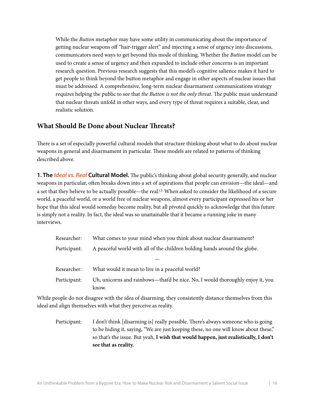While the *Button* metaphor may have some utility in communicating about the importance of getting nuclear weapons off "hair-trigger alert" and injecting a sense of urgency into discussions, communicators need ways to get beyond this mode of thinking. Whether the *Button* model can be used to create a sense of urgency and then expanded to include other concerns is an important research question. Previous research suggests that this model's cognitive salience makes it hard to get people to think beyond the button metaphor and engage in other aspects of nuclear issues that must be addressed. A comprehensive, long-term nuclear disarmament communications strategy requires helping the public to see that *the Button is not the only threat*. The public must understand that nuclear threats unfold in other ways, and every type of threat requires a suitable, clear, and realistic solution.

#### <span id="page-15-0"></span>**What Should Be Done about Nuclear Treats?**

There is a set of especially powerful cultural models that structure thinking about what to do about nuclear weapons in general and disarmament in particular. These models are related to patterns of thinking described above.

**1. The** *Ideal vs. Real* Cultural Model. The public's thinking about global security generally, and nuclear weapons in particular, often breaks down into a set of aspirations that people can envision—the ideal—and a set that they believe to be actually possible—the real. [13](#page-30-13) When asked to consider the likelihood of a secure world, a peaceful world, or a world free of nuclear weapons, almost every participant expressed his or her hope that this ideal would someday become reality, but all pivoted quickly to acknowledge that this future is simply not a reality. In fact, the ideal was so unattainable that it became a running joke in many interviews.

| Researcher:  | What comes to your mind when you think about nuclear disarmament?                       |  |
|--------------|-----------------------------------------------------------------------------------------|--|
| Participant: | A peaceful world with all of the children holding hands around the globe.               |  |
|              |                                                                                         |  |
| Researcher:  | What would it mean to live in a peaceful world?                                         |  |
| Participant: | Uh, unicorns and rainbows—that'd be nice. No, I would thoroughly enjoy it, you<br>know. |  |

While people do not disagree with the idea of disarming, they consistently distance themselves from this ideal and align themselves with what they perceive as reality.

Participant: I don't think [disarming is] really possible. There's always someone who is going to be hiding it, saying, "We are just keeping these, no one will know about these," so that's the issue. But yeah, **I wish that would happen, just realistically, I don't see that as reality.**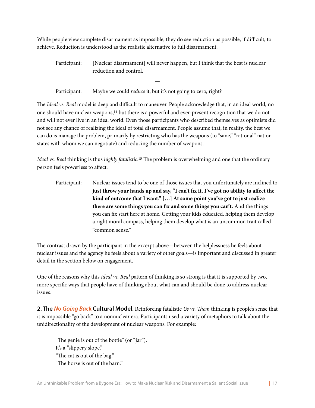While people view complete disarmament as impossible, they do see reduction as possible, if difficult, to achieve. Reduction is understood as the realistic alternative to full disarmament.

Participant: [Nuclear disarmament] will never happen, but I think that the best is nuclear reduction and control.

—

Participant: Maybe we could *reduce* it, but it's not going to zero, right?

The *Ideal vs. Real* model is deep and difficult to maneuver. People acknowledge that, in an ideal world, no one should have nuclear weapons[,14](#page-30-14) but there is a powerful and ever-present recognition that we do not and will not ever live in an ideal world. Even those participants who described themselves as optimists did not see any chance of realizing the ideal of total disarmament. People assume that, in reality, the best we can do is manage the problem, primarily by restricting who has the weapons (to "sane," "rational" nationstates with whom we can negotiate) and reducing the number of weapons.

I*deal vs. Real* thinking is thus *highly fatalistic*.<sup>[15](#page-30-15)</sup> The problem is overwhelming and one that the ordinary person feels powerless to affect.

Participant:Nuclear issues tend to be one of those issues that you unfortunately are inclined to just throw your hands up and say, "I can't fix it. I've got no ability to affect the **kind of outcome that I want." […] At some point you've got to just realize there are some things you can fx and some things you can't.** And the things you can fx start here at home. Getting your kids educated, helping them develop a right moral compass, helping them develop what is an uncommon trait called "common sense."

The contrast drawn by the participant in the excerpt above—between the helplessness he feels about nuclear issues and the agency he feels about a variety of other goals—is important and discussed in greater detail in the section below on engagement.

One of the reasons why this *Ideal vs. Real* pattern of thinking is so strong is that it is supported by two, more specifc ways that people have of thinking about what can and should be done to address nuclear issues.

**2. The** *No Going Back* **Cultural Model.** Reinforcing fatalistic *Us vs.* T*em* thinking is people's sense that it is impossible "go back" to a nonnuclear era. Participants used a variety of metaphors to talk about the unidirectionality of the development of nuclear weapons. For example:

"The genie is out of the bottle" (or "jar"). It's a "slippery slope." "The cat is out of the bag." "The horse is out of the barn."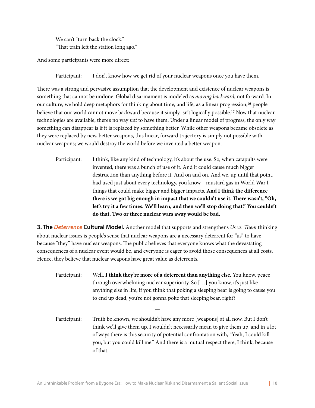We can't "turn back the clock." "That train left the station long ago."

And some participants were more direct:

Participant: I don't know how we get rid of your nuclear weapons once you have them.

There was a strong and pervasive assumption that the development and existence of nuclear weapons is something that cannot be undone. Global disarmament is modeled as *moving backward*, not forward. In our culture, we hold deep metaphors for thinking about time, and life, as a linear progression[;16](#page-31-0) people believe that our world cannot move backward because it simply isn't logically possible[.17](#page-31-1) Now that nuclear technologies are available, there's no way *not* to have them. Under a linear model of progress, the only way something can disappear is if it is replaced by something better. While other weapons became obsolete as they were replaced by new, better weapons, this linear, forward trajectory is simply not possible with nuclear weapons; we would destroy the world before we invented a better weapon.

Participant: I think, like any kind of technology, it's about the use. So, when catapults were invented, there was a bunch of use of it. And it could cause much bigger destruction than anything before it. And on and on. And we, up until that point, had used just about every technology, you know—mustard gas in World War I things that could make bigger and bigger impacts. **And I think the difference there is we got big enough in impact that we couldn't use it. There wasn't, "Oh, let's try it a few times. We'll learn, and then we'll stop doing that." You couldn't do that. Two or three nuclear wars away would be bad.**

**3. The** *Deterrence* **Cultural Model.** Another model that supports and strengthens *Us vs.* T*em* thinking about nuclear issues is people's sense that nuclear weapons are a necessary deterrent for "us" to have because "they" have nuclear weapons. The public believes that everyone knows what the devastating consequences of a nuclear event would be, and everyone is eager to avoid those consequences at all costs. Hence, they believe that nuclear weapons have great value as deterrents.

Participant:Well, **I think they're more of a deterrent than anything else.** You know, peace through overwhelming nuclear superiority. So […] you know, it's just like anything else in life, if you think that poking a sleeping bear is going to cause you to end up dead, you're not gonna poke that sleeping bear, right?

—

Participant: Truth be known, we shouldn't have any more [weapons] at all now. But I don't think we'll give them up. I wouldn't necessarily mean to give them up, and in a lot of ways there is this security of potential confrontation with, "Yeah, I could kill you, but you could kill me." And there is a mutual respect there, I think, because of that.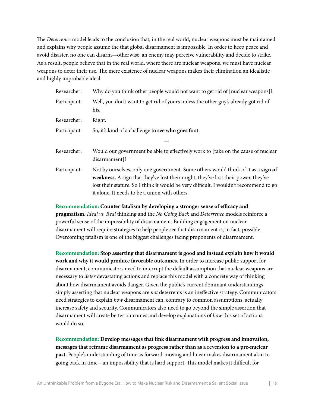The *Deterrence* model leads to the conclusion that, in the real world, nuclear weapons must be maintained and explains why people assume the that global disarmament is impossible. In order to keep peace and avoid disaster, no one can disarm—otherwise, an enemy may perceive vulnerability and decide to strike. As a result, people believe that in the real world, where there are nuclear weapons, we must have nuclear weapons to deter their use. The mere existence of nuclear weapons makes their elimination an idealistic and highly improbable ideal.

| Researcher:  | Why do you think other people would not want to get rid of [nuclear weapons]?                                                                                                                                                                                                                                    |
|--------------|------------------------------------------------------------------------------------------------------------------------------------------------------------------------------------------------------------------------------------------------------------------------------------------------------------------|
| Participant: | Well, you don't want to get rid of yours unless the other guy's already got rid of<br>his.                                                                                                                                                                                                                       |
| Researcher:  | Right.                                                                                                                                                                                                                                                                                                           |
| Participant: | So, it's kind of a challenge to see who goes first.                                                                                                                                                                                                                                                              |
|              |                                                                                                                                                                                                                                                                                                                  |
| Researcher:  | Would our government be able to effectively work to [take on the cause of nuclear<br>disarmament]?                                                                                                                                                                                                               |
| Participant: | Not by ourselves, only one government. Some others would think of it as a sign of<br>weakness. A sign that they've lost their might, they've lost their power, they've<br>lost their stature. So I think it would be very difficult. I wouldn't recommend to go<br>it alone. It needs to be a union with others. |

#### **Recommendation: Counter fatalism by developing a stronger sense of efficacy and pragmatism.** *Ideal vs. Real* thinking and the *No Going Back* and *Deterrence* models reinforce a powerful sense of the impossibility of disarmament. Building engagement on nuclear disarmament will require strategies to help people see that disarmament is, in fact, possible. Overcoming fatalism is one of the biggest challenges facing proponents of disarmament.

**Recommendation: Stop asserting that disarmament is good and instead explain how it would work and why it would produce favorable outcomes.** In order to increase public support for disarmament, communicators need to interrupt the default assumption that nuclear weapons are necessary to *deter* devastating actions and replace this model with a concrete way of thinking about how disarmament avoids danger. Given the public's current dominant understandings, simply asserting that nuclear weapons are *not* deterrents is an ineffective strategy. Communicators need strategies to explain *how* disarmament can, contrary to common assumptions, actually increase safety and security. Communicators also need to go beyond the simple assertion that disarmament will create better outcomes and develop explanations of *how* this set of actions would do so.

**Recommendation: Develop messages that link disarmament with progress and innovation, messages that reframe disarmament as progress rather than as a reversion to a pre-nuclear past.** People's understanding of time as forward-moving and linear makes disarmament akin to going back in time—an impossibility that is hard support. Tis model makes it difficult for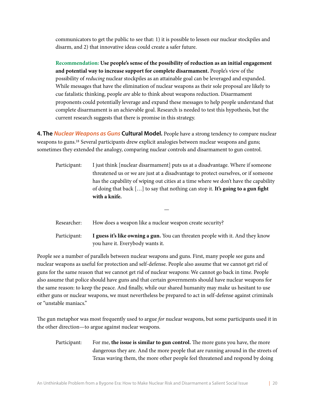communicators to get the public to see that: 1) it is possible to lessen our nuclear stockpiles and disarm, and 2) that innovative ideas could create a safer future.

**Recommendation: Use people's sense of the possibility of reduction as an initial engagement and potential way to increase support for complete disarmament.** People's view of the possibility of *reducing* nuclear stockpiles as an attainable goal can be leveraged and expanded. While messages that have the elimination of nuclear weapons as their sole proposal are likely to cue fatalistic thinking, people *are* able to think about weapons reduction. Disarmament proponents could potentially leverage and expand these messages to help people understand that complete disarmament is an achievable goal. Research is needed to test this hypothesis, but the current research suggests that there is promise in this strategy.

**4. The** *Nuclear Weapons as Guns* **Cultural Model.** People have a strong tendency to compare nuclear weapons to guns.<sup>18</sup> Several participants drew explicit analogies between nuclear weapons and guns; sometimes they extended the analogy, comparing nuclear controls and disarmament to gun control.

| Participant: | I just think [nuclear disarmament] puts us at a disadvantage. Where if someone           |
|--------------|------------------------------------------------------------------------------------------|
|              | threatened us or we are just at a disadvantage to protect ourselves, or if someone       |
|              | has the capability of wiping out cities at a time where we don't have the capability     |
|              | of doing that back $[\ldots]$ to say that nothing can stop it. It's going to a gun fight |
|              | with a knife.                                                                            |

—

| Researcher:  | How does a weapon like a nuclear weapon create security?                                                           |
|--------------|--------------------------------------------------------------------------------------------------------------------|
| Participant: | I guess it's like owning a gun. You can threaten people with it. And they know<br>you have it. Everybody wants it. |

People see a number of parallels between nuclear weapons and guns. First, many people see guns and nuclear weapons as useful for protection and self-defense. People also assume that we cannot get rid of guns for the same reason that we cannot get rid of nuclear weapons: We cannot go back in time. People also assume that police should have guns and that certain governments should have nuclear weapons for the same reason: to keep the peace. And fnally, while our shared humanity may make us hesitant to use either guns or nuclear weapons, we must nevertheless be prepared to act in self-defense against criminals or "unstable maniacs."

The gun metaphor was most frequently used to argue *for* nuclear weapons, but some participants used it in the other direction—to argue against nuclear weapons.

Participant: For me, the issue is similar to gun control. The more guns you have, the more dangerous they are. And the more people that are running around in the streets of Texas waving them, the more other people feel threatened and respond by doing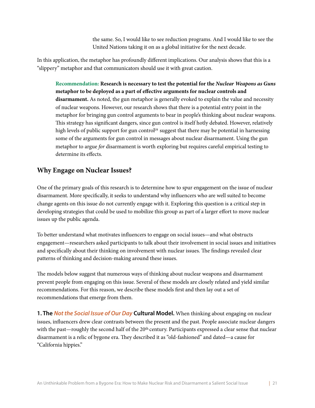the same. So, I would like to see reduction programs. And I would like to see the United Nations taking it on as a global initiative for the next decade.

In this application, the metaphor has profoundly different implications. Our analysis shows that this is a "slippery" metaphor and that communicators should use it with great caution.

**Recommendation: Research is necessary to test the potential for the** *Nuclear Weapons as Guns* **metaphor to be deployed as a part of effective arguments for nuclear controls and disarmament.** As noted, the gun metaphor is generally evoked to explain the value and necessity of nuclear weapons. However, our research shows that there is a potential entry point in the metaphor for bringing gun control arguments to bear in people's thinking about nuclear weapons. This strategy has significant dangers, since gun control is itself hotly debated. However, relatively high levels of public support for gun control<sup>19</sup> suggest that there may be potential in harnessing some of the arguments for gun control in messages about nuclear disarmament. Using the gun metaphor to argue *for* disarmament is worth exploring but requires careful empirical testing to determine its effects.

#### <span id="page-20-0"></span>**Why Engage on Nuclear Issues?**

One of the primary goals of this research is to determine how to spur engagement on the issue of nuclear disarmament. More specifcally, it seeks to understand why infuencers who are well suited to become change agents on this issue do not currently engage with it. Exploring this question is a critical step in developing strategies that could be used to mobilize this group as part of a larger effort to move nuclear issues up the public agenda.

To better understand what motivates infuencers to engage on social issues—and what obstructs engagement—researchers asked participants to talk about their involvement in social issues and initiatives and specifically about their thinking on involvement with nuclear issues. The findings revealed clear patterns of thinking and decision-making around these issues.

The models below suggest that numerous ways of thinking about nuclear weapons and disarmament prevent people from engaging on this issue. Several of these models are closely related and yield similar recommendations. For this reason, we describe these models frst and then lay out a set of recommendations that emerge from them.

**1. The** *Not the Social Issue of Our Day* **Cultural Model.** When thinking about engaging on nuclear issues, infuencers drew clear contrasts between the present and the past. People associate nuclear dangers with the past—roughly the second half of the 20<sup>th</sup> century. Participants expressed a clear sense that nuclear disarmament is a relic of bygone era. They described it as "old-fashioned" and dated—a cause for "California hippies."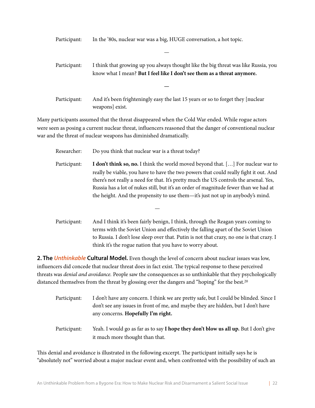Participant: In the '80s, nuclear war was a big, HUGE conversation, a hot topic.

| Participant: | I think that growing up you always thought like the big threat was like Russia, you<br>know what I mean? But I feel like I don't see them as a threat anymore. |
|--------------|----------------------------------------------------------------------------------------------------------------------------------------------------------------|
|              |                                                                                                                                                                |
| Participant: | And it's been frighteningly easy the last 15 years or so to forget they [nuclear<br>weapons exist.                                                             |

—

Many participants assumed that the threat disappeared when the Cold War ended. While rogue actors were seen as posing a current nuclear threat, infuencers reasoned that the danger of conventional nuclear war and the threat of nuclear weapons has diminished dramatically.

| Researcher:     | Do you think that nuclear war is a threat today?                                                                                                                                                                                                                                                                                                                                                                                                     |
|-----------------|------------------------------------------------------------------------------------------------------------------------------------------------------------------------------------------------------------------------------------------------------------------------------------------------------------------------------------------------------------------------------------------------------------------------------------------------------|
| Participant:    | <b>I don't think so, no.</b> I think the world moved beyond that. [] For nuclear war to<br>really be viable, you have to have the two powers that could really fight it out. And<br>there's not really a need for that. It's pretty much the US controls the arsenal. Yes,<br>Russia has a lot of nukes still, but it's an order of magnitude fewer than we had at<br>the height. And the propensity to use them—it's just not up in anybody's mind. |
|                 |                                                                                                                                                                                                                                                                                                                                                                                                                                                      |
| $D$ orticinont. | And I think it's been fairly benian. I think through the Deegan years coming to                                                                                                                                                                                                                                                                                                                                                                      |

Participant: And I think it's been fairly benign, I think, through the Reagan years coming to terms with the Soviet Union and effectively the falling apart of the Soviet Union to Russia. I don't lose sleep over that. Putin is not that crazy, no one is that crazy. I think it's the rogue nation that you have to worry about.

**2. The** *Unthinkable* **Cultural Model.** Even though the level of concern about nuclear issues was low, influencers did concede that nuclear threat does in fact exist. The typical response to these perceived threats was *denial and avoidance.* People saw the consequences as so unthinkable that they psychologically distanced themselves from the threat by glossing over the dangers and "hoping" for the best.<sup>20</sup>

| Participant: | I don't have any concern. I think we are pretty safe, but I could be blinded. Since I<br>don't see any issues in front of me, and maybe they are hidden, but I don't have<br>any concerns. Hopefully I'm right. |
|--------------|-----------------------------------------------------------------------------------------------------------------------------------------------------------------------------------------------------------------|
| Participant: | Yeah. I would go as far as to say I hope they don't blow us all up. But I don't give<br>it much more thought than that.                                                                                         |

This denial and avoidance is illustrated in the following excerpt. The participant initially says he is "absolutely not" worried about a major nuclear event and, when confronted with the possibility of such an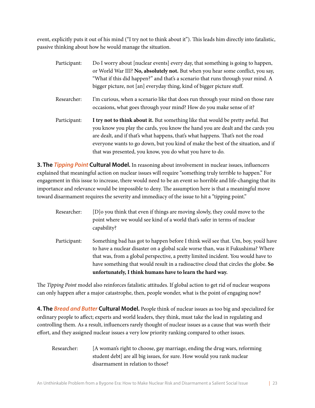event, explicitly puts it out of his mind ("I try not to think about it"). This leads him directly into fatalistic, passive thinking about how he would manage the situation.

| Participant: | Do I worry about [nuclear events] every day, that something is going to happen,<br>or World War III? No, absolutely not. But when you hear some conflict, you say,<br>"What if this did happen?" and that's a scenario that runs through your mind. A<br>bigger picture, not [an] everyday thing, kind of bigger picture stuff.                                                                        |
|--------------|--------------------------------------------------------------------------------------------------------------------------------------------------------------------------------------------------------------------------------------------------------------------------------------------------------------------------------------------------------------------------------------------------------|
| Researcher:  | I'm curious, when a scenario like that does run through your mind on those rare<br>occasions, what goes through your mind? How do you make sense of it?                                                                                                                                                                                                                                                |
| Participant: | I try not to think about it. But something like that would be pretty awful. But<br>you know you play the cards, you know the hand you are dealt and the cards you<br>are dealt, and if that's what happens, that's what happens. That's not the road<br>everyone wants to go down, but you kind of make the best of the situation, and if<br>that was presented, you know, you do what you have to do. |

**3. The** *Tipping Point* **Cultural Model.** In reasoning about involvement in nuclear issues, infuencers explained that meaningful action on nuclear issues will require "something truly terrible to happen." For engagement in this issue to increase, there would need to be an event so horrible and life-changing that its importance and relevance would be impossible to deny. The assumption here is that a meaningful move toward disarmament requires the severity and immediacy of the issue to hit a "tipping point."

| Researcher:  | [D] o you think that even if things are moving slowly, they could move to the<br>point where we would see kind of a world that's safer in terms of nuclear<br>capability?                                                                                                                                                                                                                                     |
|--------------|---------------------------------------------------------------------------------------------------------------------------------------------------------------------------------------------------------------------------------------------------------------------------------------------------------------------------------------------------------------------------------------------------------------|
| Participant: | Something bad has got to happen before I think we'd see that. Um, boy, you'd have<br>to have a nuclear disaster on a global scale worse than, was it Fukushima? Where<br>that was, from a global perspective, a pretty limited incident. You would have to<br>have something that would result in a radioactive cloud that circles the globe. So<br>unfortunately, I think humans have to learn the hard way. |

The *Tipping Point* model also reinforces fatalistic attitudes. If global action to get rid of nuclear weapons can only happen afer a major catastrophe, then, people wonder, what is the point of engaging now?

**4. The** *Bread and Butter* **Cultural Model.** People think of nuclear issues as too big and specialized for ordinary people to affect; experts and world leaders, they think, must take the lead in regulating and controlling them. As a result, infuencers rarely thought of nuclear issues as a cause that was worth their effort, and they assigned nuclear issues a very low priority ranking compared to other issues.

Researcher: [A woman's right to choose, gay marriage, ending the drug wars, reforming student debt] are all big issues, for sure. How would you rank nuclear disarmament in relation to those?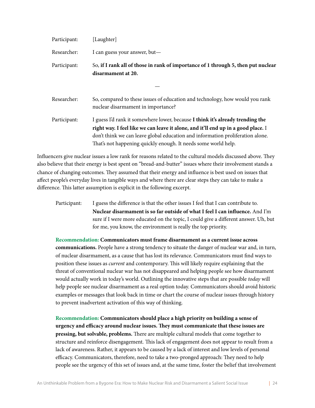| Participant: | [Laughter]                                                                                                                                                                                                                                                                                                              |
|--------------|-------------------------------------------------------------------------------------------------------------------------------------------------------------------------------------------------------------------------------------------------------------------------------------------------------------------------|
| Researcher:  | I can guess your answer, but—                                                                                                                                                                                                                                                                                           |
| Participant: | So, if I rank all of those in rank of importance of 1 through 5, then put nuclear<br>disarmament at 20.                                                                                                                                                                                                                 |
|              |                                                                                                                                                                                                                                                                                                                         |
| Researcher:  | So, compared to these issues of education and technology, how would you rank<br>nuclear disarmament in importance?                                                                                                                                                                                                      |
| Participant: | I guess I'd rank it somewhere lower, because I think it's already trending the<br>right way. I feel like we can leave it alone, and it'll end up in a good place. I<br>don't think we can leave global education and information proliferation alone.<br>That's not happening quickly enough. It needs some world help. |

Influencers give nuclear issues a low rank for reasons related to the cultural models discussed above. They also believe that their energy is best spent on "bread-and-butter" issues where their involvement stands a chance of changing outcomes. They assumed that their energy and influence is best used on issues that affect people's everyday lives in tangible ways and where there are clear steps they can take to make a difference. This latter assumption is explicit in the following excerpt.

Participant: I guess the difference is that the other issues I feel that I can contribute to. **Nuclear disarmament is so far outside of what I feel I can infuence.** And I'm sure if I were more educated on the topic, I could give a different answer. Uh, but for me, you know, the environment is really the top priority.

**Recommendation: Communicators must frame disarmament as a current issue across communications.** People have a strong tendency to situate the danger of nuclear war and, in turn, of nuclear disarmament, as a cause that has lost its relevance. Communicators must fnd ways to position these issues as *current* and contemporary. This will likely require explaining that the threat of conventional nuclear war has not disappeared and helping people see how disarmament would actually work in today's world. Outlining the innovative steps that are possible *today* will help people see nuclear disarmament as a real option today. Communicators should avoid historic examples or messages that look back in time or chart the course of nuclear issues through history to prevent inadvertent activation of this way of thinking.

**Recommendation: Communicators should place a high priority on building a sense of urgency and efficacy around nuclear issues. Tey must communicate that these issues are pressing, but solvable, problems.** There are multiple cultural models that come together to structure and reinforce disengagement*.* Tis lack of engagement does not appear to result from a lack of awareness. Rather, it appears to be caused by a lack of interest and low levels of personal efficacy. Communicators, therefore, need to take a two-pronged approach: They need to help people see the urgency of this set of issues and, at the same time, foster the belief that involvement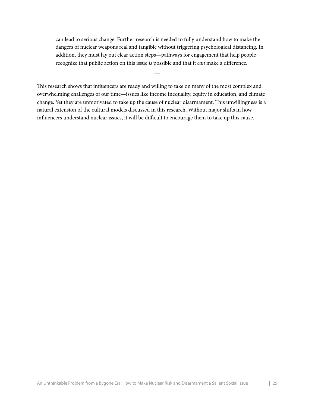can lead to serious change. Further research is needed to fully understand how to make the dangers of nuclear weapons real and tangible without triggering psychological distancing. In addition, they must lay out clear action steps—pathways for engagement that help people recognize that public action on this issue *is* possible and that it *can* make a difference.

 $\overline{\phantom{a}}$ 

This research shows that influencers are ready and willing to take on many of the most complex and overwhelming challenges of our time—issues like income inequality, equity in education, and climate change. Yet they are unmotivated to take up the cause of nuclear disarmament. This unwillingness is a natural extension of the cultural models discussed in this research. Without major shifs in how infuencers understand nuclear issues, it will be difficult to encourage them to take up this cause.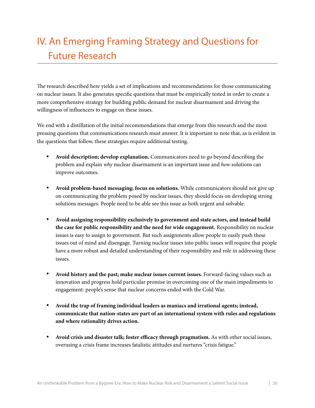# <span id="page-25-0"></span>IV. An Emerging Framing Strategy and Questions for Future Research

The research described here yields a set of implications and recommendations for those communicating on nuclear issues. It also generates specifc questions that must be empirically tested in order to create a more comprehensive strategy for building public demand for nuclear disarmament and driving the willingness of infuencers to engage on these issues.

We end with a distillation of the initial recommendations that emerge from this research and the most pressing questions that communications research must answer. It is important to note that, as is evident in the questions that follow, these strategies require additional testing.

- **Avoid description; develop explanation.** Communicators need to go beyond describing the problem and explain *why* nuclear disarmament is an important issue and *how* solutions can improve outcomes.
- **Avoid problem-based messaging; focus on solutions.** While communicators should not give up on communicating the problem posed by nuclear issues, they should focus on developing strong solutions messages. People need to be able see this issue as both urgent and solvable.
- **Avoid assigning responsibility exclusively to government and state actors, and instead build the case for public responsibility and the need for wide engagement.** Responsibility on nuclear issues is easy to assign to government. But such assignments allow people to easily push these issues out of mind and disengage. Turning nuclear issues into public issues will require that people have a more robust and detailed understanding of their responsibility and role in addressing these issues.
- **Avoid history and the past; make nuclear issues current issues.** Forward-facing values such as innovation and progress hold particular promise in overcoming one of the main impediments to engagement: people's sense that nuclear concerns ended with the Cold War.
- **Avoid the trap of framing individual leaders as maniacs and irrational agents; instead, communicate that nation-states are part of an international system with rules and regulations and where rationality drives action.**
- **Avoid crisis and disaster talk; foster efficacy through pragmatism.** As with other social issues, overusing a crisis frame increases fatalistic attitudes and nurtures "crisis fatigue."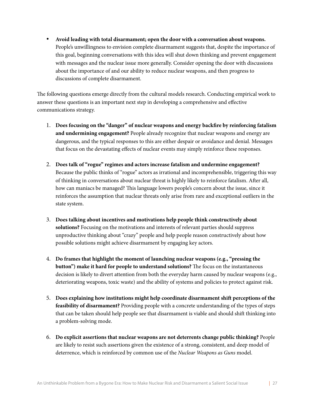• **Avoid leading with total disarmament; open the door with a conversation about weapons.**  People's unwillingness to envision complete disarmament suggests that, despite the importance of this goal, beginning conversations with this idea will shut down thinking and prevent engagement with messages and the nuclear issue more generally. Consider opening the door with discussions about the importance of and our ability to reduce nuclear weapons, and then progress to discussions of complete disarmament.

The following questions emerge directly from the cultural models research. Conducting empirical work to answer these questions is an important next step in developing a comprehensive and effective communications strategy.

- 1. **Does focusing on the "danger" of nuclear weapons and energy backfre by reinforcing fatalism and undermining engagement?** People already recognize that nuclear weapons and energy are dangerous, and the typical responses to this are either despair or avoidance and denial. Messages that focus on the devastating effects of nuclear events may simply reinforce these responses.
- 2. **Does talk of "rogue" regimes and actors increase fatalism and undermine engagement?**  Because the public thinks of "rogue" actors as irrational and incomprehensible, triggering this way of thinking in conversations about nuclear threat is highly likely to reinforce fatalism. Afer all, how can maniacs be managed? This language lowers people's concern about the issue, since it reinforces the assumption that nuclear threats only arise from rare and exceptional outliers in the state system.
- 3. **Does talking about incentives and motivations help people think constructively about solutions?** Focusing on the motivations and interests of relevant parties should suppress unproductive thinking about "crazy" people and help people reason constructively about how possible solutions might achieve disarmament by engaging key actors.
- 4. **Do frames that highlight the moment of launching nuclear weapons (e.g., "pressing the button") make it hard for people to understand solutions?** The focus on the instantaneous decision is likely to divert attention from both the everyday harm caused by nuclear weapons (e.g., deteriorating weapons, toxic waste) and the ability of systems and policies to protect against risk.
- 5. **Does explaining how institutions might help coordinate disarmament shif perceptions of the feasibility of disarmament?** Providing people with a concrete understanding of the types of steps that can be taken should help people see that disarmament is viable and should shif thinking into a problem-solving mode.
- 6. **Do explicit assertions that nuclear weapons are not deterrents change public thinking?** People are likely to resist such assertions given the existence of a strong, consistent, and deep model of deterrence, which is reinforced by common use of the *Nuclear Weapons as Guns* model.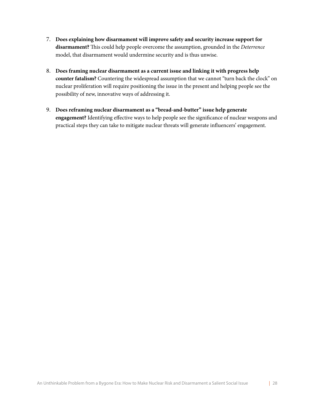- 7. **Does explaining how disarmament will improve safety and security increase support for disarmament?** Tis could help people overcome the assumption, grounded in the *Deterrence*  model, that disarmament would undermine security and is thus unwise.
- 8. **Does framing nuclear disarmament as a current issue and linking it with progress help counter fatalism?** Countering the widespread assumption that we cannot "turn back the clock" on nuclear proliferation will require positioning the issue in the present and helping people see the possibility of new, innovative ways of addressing it.
- 9. **Does reframing nuclear disarmament as a "bread-and-butter" issue help generate engagement?** Identifying effective ways to help people see the signifcance of nuclear weapons and practical steps they can take to mitigate nuclear threats will generate infuencers' engagement.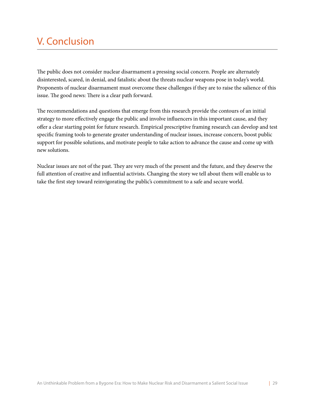## <span id="page-28-0"></span>V. Conclusion

The public does not consider nuclear disarmament a pressing social concern. People are alternately disinterested, scared, in denial, and fatalistic about the threats nuclear weapons pose in today's world. Proponents of nuclear disarmament must overcome these challenges if they are to raise the salience of this issue. The good news: There is a clear path forward.

The recommendations and questions that emerge from this research provide the contours of an initial strategy to more effectively engage the public and involve infuencers in this important cause, and they offer a clear starting point for future research. Empirical prescriptive framing research can develop and test specifc framing tools to generate greater understanding of nuclear issues, increase concern, boost public support for possible solutions, and motivate people to take action to advance the cause and come up with new solutions.

Nuclear issues are not of the past. They are very much of the present and the future, and they deserve the full attention of creative and infuential activists. Changing the story we tell about them will enable us to take the frst step toward reinvigorating the public's commitment to a safe and secure world.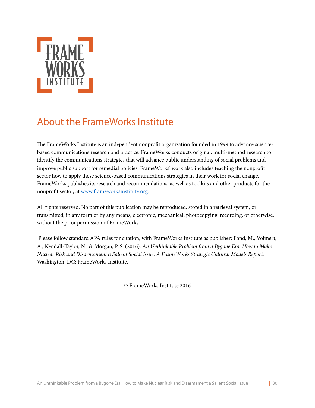

### <span id="page-29-0"></span>About the FrameWorks Institute

The FrameWorks Institute is an independent nonprofit organization founded in 1999 to advance sciencebased communications research and practice. FrameWorks conducts original, multi-method research to identify the communications strategies that will advance public understanding of social problems and improve public support for remedial policies. FrameWorks' work also includes teaching the nonproft sector how to apply these science-based communications strategies in their work for social change. FrameWorks publishes its research and recommendations, as well as toolkits and other products for the nonproft sector, at [www.frameworksinstitute.org](http://www.frameworksinstitute.org).

All rights reserved. No part of this publication may be reproduced, stored in a retrieval system, or transmitted, in any form or by any means, electronic, mechanical, photocopying, recording, or otherwise, without the prior permission of FrameWorks.

 Please follow standard APA rules for citation, with FrameWorks Institute as publisher: Fond, M., Volmert, A., Kendall-Taylor, N., & Morgan, P. S. (2016). *An Unthinkable Problem from a Bygone Era: How to Make Nuclear Risk and Disarmament a Salient Social Issue. A FrameWorks Strategic Cultural Models Report.* Washington, DC: FrameWorks Institute.

© FrameWorks Institute 2016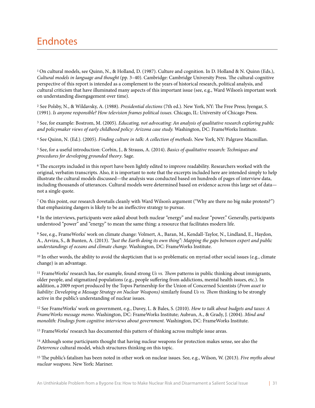### <span id="page-30-0"></span>Endnotes

<span id="page-30-1"></span><sup>1</sup> On cultural models, see Quinn, N., & Holland, D. (1987). Culture and cognition. In D. Holland & N. Quinn (Eds.), *Cultural models in language and thought* (pp. 3–40). Cambridge: Cambridge University Press. The cultural-cognitive perspective of this report is intended as a complement to the years of historical research, political analysis, and cultural criticism that have illuminated many aspects of this important issue (see, e.g., Ward Wilson's important work on understanding disengagement over time).

<span id="page-30-2"></span><sup>2</sup> See Polsby, N., & Wildavsky, A. (1988). *Presidential elections* (7th ed.). New York, NY: The Free Press; Iyengar, S. (1991). *Is anyone responsible? How television frames political issues.* Chicago, IL: University of Chicago Press.

<span id="page-30-3"></span>3 See, for example: Bostrom, M. (2005). *Educating, not advocating: An analysis of qualitative research exploring public and policymaker views of early childhood policy: Arizona case study.* Washington, DC: FrameWorks Institute.

<span id="page-30-4"></span>4 See Quinn, N. (Ed.). (2005). *Finding culture in talk: A collection of methods*. New York, NY: Palgrave Macmillan.

<span id="page-30-5"></span>5 See, for a useful introduction: Corbin, J., & Strauss, A. (2014). *Basics of qualitative research: Techniques and procedures for developing grounded theory*. Sage.

<span id="page-30-6"></span><sup>6</sup> The excerpts included in this report have been lightly edited to improve readability. Researchers worked with the original, verbatim transcripts. Also, it is important to note that the excerpts included here are intended simply to help illustrate the cultural models discussed—the analysis was conducted based on hundreds of pages of interview data, including thousands of utterances. Cultural models were determined based on evidence across this large set of data not a single quote.

<span id="page-30-7"></span>7 On this point, our research dovetails cleanly with Ward Wilson's argument ("Why are there no big nuke protests?") that emphasizing dangers is likely to be an ineffective strategy to pursue.

<span id="page-30-8"></span>8 In the interviews, participants were asked about both nuclear "energy" and nuclear "power." Generally, participants understood "power" and "energy" to mean the same thing: a resource that facilitates modern life.

<span id="page-30-9"></span>9 See, e.g., FrameWorks' work on climate change: Volmert, A., Baran, M., Kendall-Taylor, N., Lindland, E., Haydon, A., Arvizu, S., & Bunten, A. (2013). *"Just the Earth doing its own thing": Mapping the gaps between expert and public understandings of oceans and climate change.* Washington, DC: FrameWorks Institute.

<span id="page-30-10"></span> $10$  In other words, the ability to avoid the skepticism that is so problematic on myriad other social issues (e.g., climate change) is an advantage.

<span id="page-30-11"></span><sup>11</sup> FrameWorks' research has, for example, found strong *Us vs. Them* patterns in public thinking about immigrants, older people, and stigmatized populations (e.g., people suffering from addictions, mental health issues, etc.). In addition, a 2009 report produced by the Topos Partnership for the Union of Concerned Scientists (*From asset to liability: Developing a Message Strategy on Nuclear Weapons)* similarly found *Us vs.* T*em* thinking to be strongly active in the public's understanding of nuclear issues.

<span id="page-30-12"></span>12 See FrameWorks' work on government, e.g., Davey, L. & Bales, S. (2010). *How to talk about budgets and taxes: A FrameWorks message memo*. Washington, DC: FrameWorks Institute; Aubrun, A., & Grady, J. (2004). *Mind and monolith: Findings from cognitive interviews about government.* Washington, DC: FrameWorks Institute.

<span id="page-30-13"></span><sup>13</sup> FrameWorks' research has documented this pattern of thinking across multiple issue areas.

<span id="page-30-14"></span><sup>14</sup> Although some participants thought that having nuclear weapons for protection makes sense, see also the *Deterrence* cultural model, which structures thinking on this topic.

<span id="page-30-15"></span><sup>15</sup> The public's fatalism has been noted in other work on nuclear issues. See, e.g., Wilson, W. (2013). *Five myths about nuclear weapons.* New York: Mariner.